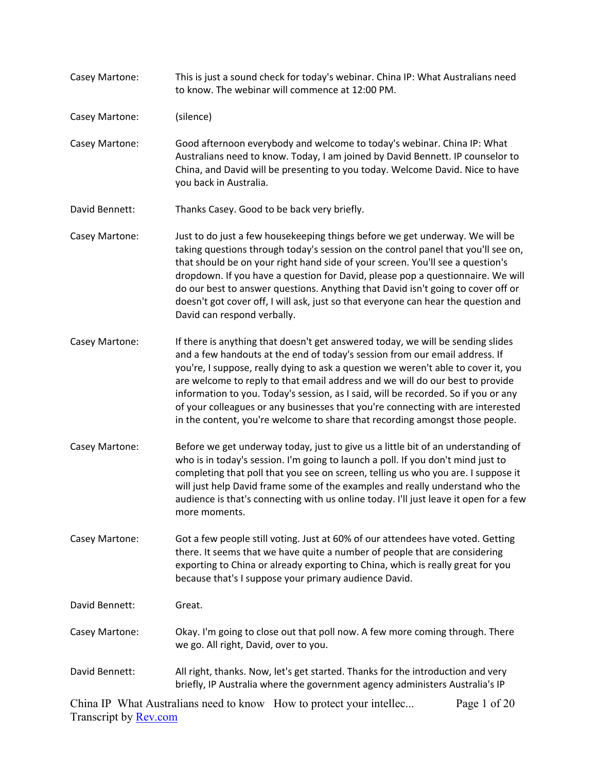- Casey Martone: This is just a sound check for today's webinar. China IP: What Australians need to know. The webinar will commence at 12:00 PM.
- Casey Martone: (silence)
- Casey Martone: Good afternoon everybody and welcome to today's webinar. China IP: What Australians need to know. Today, I am joined by David Bennett. IP counselor to China, and David will be presenting to you today. Welcome David. Nice to have you back in Australia.
- David Bennett: Thanks Casey. Good to be back very briefly.
- Casey Martone: Just to do just a few housekeeping things before we get underway. We will be taking questions through today's session on the control panel that you'll see on, that should be on your right hand side of your screen. You'll see a question's dropdown. If you have a question for David, please pop a questionnaire. We will do our best to answer questions. Anything that David isn't going to cover off or doesn't got cover off, I will ask, just so that everyone can hear the question and David can respond verbally.
- Casey Martone: If there is anything that doesn't get answered today, we will be sending slides and a few handouts at the end of today's session from our email address. If you're, I suppose, really dying to ask a question we weren't able to cover it, you are welcome to reply to that email address and we will do our best to provide information to you. Today's session, as I said, will be recorded. So if you or any of your colleagues or any businesses that you're connecting with are interested in the content, you're welcome to share that recording amongst those people.
- Casey Martone: Before we get underway today, just to give us a little bit of an understanding of who is in today's session. I'm going to launch a poll. If you don't mind just to completing that poll that you see on screen, telling us who you are. I suppose it will just help David frame some of the examples and really understand who the audience is that's connecting with us online today. I'll just leave it open for a few more moments.

Casey Martone: Got a few people still voting. Just at 60% of our attendees have voted. Getting there. It seems that we have quite a number of people that are considering exporting to China or already exporting to China, which is really great for you because that's I suppose your primary audience David.

- David Bennett: Great.
- Casey Martone: Okay. I'm going to close out that poll now. A few more coming through. There we go. All right, David, over to you.
- David Bennett: All right, thanks. Now, let's get started. Thanks for the introduction and very briefly, IP Australia where the government agency administers Australia's IP

China IP What Australians need to know How to protect your intellec... Transcript by [Rev.com](https://www.rev.com/) Page 1 of 20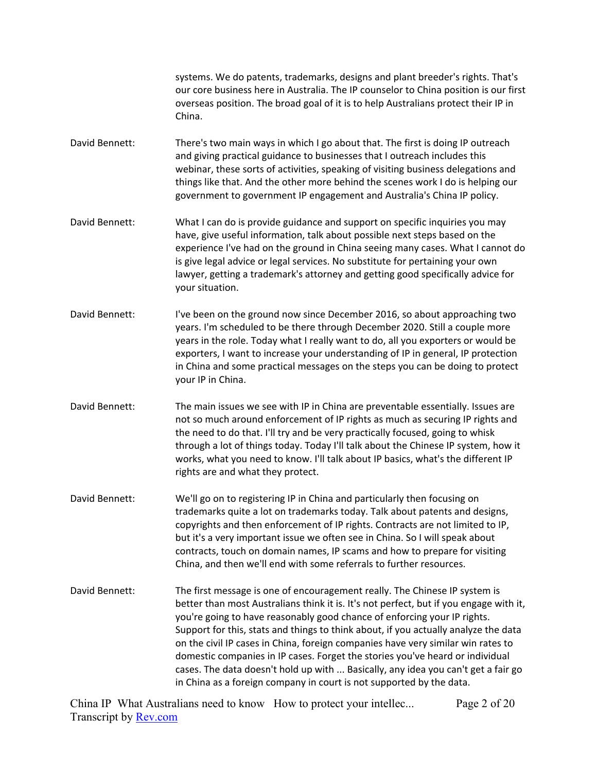systems. We do patents, trademarks, designs and plant breeder's rights. That's our core business here in Australia. The IP counselor to China position is our first overseas position. The broad goal of it is to help Australians protect their IP in China.

- David Bennett: There's two main ways in which I go about that. The first is doing IP outreach and giving practical guidance to businesses that I outreach includes this webinar, these sorts of activities, speaking of visiting business delegations and things like that. And the other more behind the scenes work I do is helping our government to government IP engagement and Australia's China IP policy.
- David Bennett: What I can do is provide guidance and support on specific inquiries you may have, give useful information, talk about possible next steps based on the experience I've had on the ground in China seeing many cases. What I cannot do is give legal advice or legal services. No substitute for pertaining your own lawyer, getting a trademark's attorney and getting good specifically advice for your situation.
- David Bennett: I've been on the ground now since December 2016, so about approaching two years. I'm scheduled to be there through December 2020. Still a couple more years in the role. Today what I really want to do, all you exporters or would be exporters, I want to increase your understanding of IP in general, IP protection in China and some practical messages on the steps you can be doing to protect your IP in China.
- David Bennett: The main issues we see with IP in China are preventable essentially. Issues are not so much around enforcement of IP rights as much as securing IP rights and the need to do that. I'll try and be very practically focused, going to whisk through a lot of things today. Today I'll talk about the Chinese IP system, how it works, what you need to know. I'll talk about IP basics, what's the different IP rights are and what they protect.
- David Bennett: We'll go on to registering IP in China and particularly then focusing on trademarks quite a lot on trademarks today. Talk about patents and designs, copyrights and then enforcement of IP rights. Contracts are not limited to IP, but it's a very important issue we often see in China. So I will speak about contracts, touch on domain names, IP scams and how to prepare for visiting China, and then we'll end with some referrals to further resources.
- David Bennett: The first message is one of encouragement really. The Chinese IP system is better than most Australians think it is. It's not perfect, but if you engage with it, you're going to have reasonably good chance of enforcing your IP rights. Support for this, stats and things to think about, if you actually analyze the data on the civil IP cases in China, foreign companies have very similar win rates to domestic companies in IP cases. Forget the stories you've heard or individual cases. The data doesn't hold up with ... Basically, any idea you can't get a fair go in China as a foreign company in court is not supported by the data.

China IP What Australians need to know How to protect your intellec... Transcript by [Rev.com](https://www.rev.com/) Page 2 of 20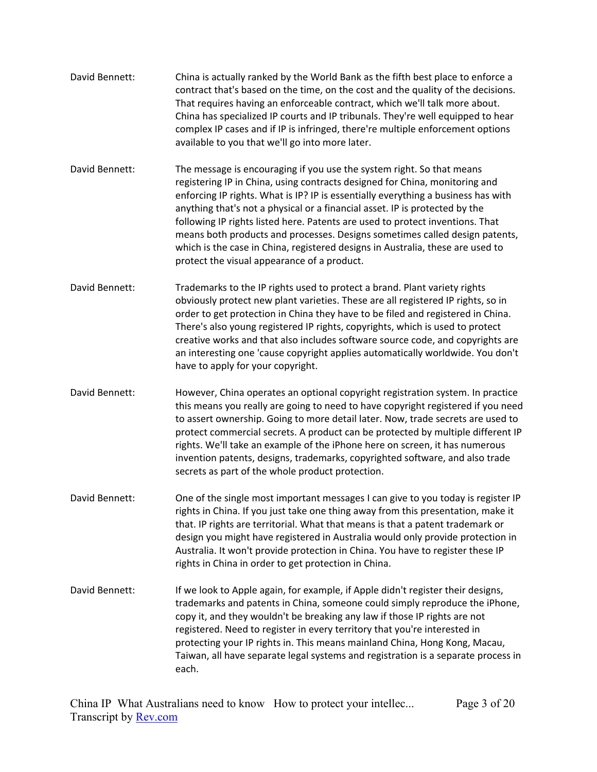- David Bennett: China is actually ranked by the World Bank as the fifth best place to enforce a contract that's based on the time, on the cost and the quality of the decisions. That requires having an enforceable contract, which we'll talk more about. China has specialized IP courts and IP tribunals. They're well equipped to hear complex IP cases and if IP is infringed, there're multiple enforcement options available to you that we'll go into more later.
- David Bennett: The message is encouraging if you use the system right. So that means registering IP in China, using contracts designed for China, monitoring and enforcing IP rights. What is IP? IP is essentially everything a business has with anything that's not a physical or a financial asset. IP is protected by the following IP rights listed here. Patents are used to protect inventions. That means both products and processes. Designs sometimes called design patents, which is the case in China, registered designs in Australia, these are used to protect the visual appearance of a product.
- David Bennett: Trademarks to the IP rights used to protect a brand. Plant variety rights obviously protect new plant varieties. These are all registered IP rights, so in order to get protection in China they have to be filed and registered in China. There's also young registered IP rights, copyrights, which is used to protect creative works and that also includes software source code, and copyrights are an interesting one 'cause copyright applies automatically worldwide. You don't have to apply for your copyright.
- David Bennett: However, China operates an optional copyright registration system. In practice this means you really are going to need to have copyright registered if you need to assert ownership. Going to more detail later. Now, trade secrets are used to protect commercial secrets. A product can be protected by multiple different IP rights. We'll take an example of the iPhone here on screen, it has numerous invention patents, designs, trademarks, copyrighted software, and also trade secrets as part of the whole product protection.
- David Bennett: One of the single most important messages I can give to you today is register IP rights in China. If you just take one thing away from this presentation, make it that. IP rights are territorial. What that means is that a patent trademark or design you might have registered in Australia would only provide protection in Australia. It won't provide protection in China. You have to register these IP rights in China in order to get protection in China.
- David Bennett: If we look to Apple again, for example, if Apple didn't register their designs, trademarks and patents in China, someone could simply reproduce the iPhone, copy it, and they wouldn't be breaking any law if those IP rights are not registered. Need to register in every territory that you're interested in protecting your IP rights in. This means mainland China, Hong Kong, Macau, Taiwan, all have separate legal systems and registration is a separate process in each.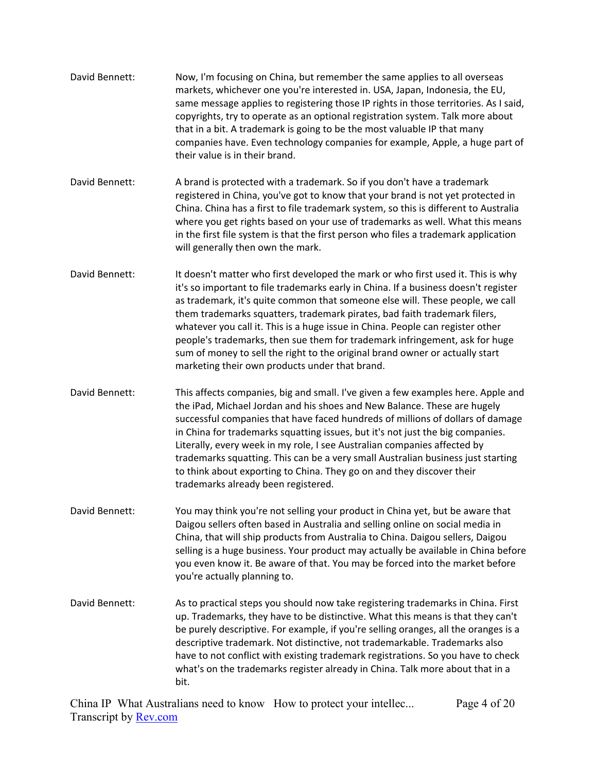| David Bennett: | Now, I'm focusing on China, but remember the same applies to all overseas<br>markets, whichever one you're interested in. USA, Japan, Indonesia, the EU,<br>same message applies to registering those IP rights in those territories. As I said,<br>copyrights, try to operate as an optional registration system. Talk more about<br>that in a bit. A trademark is going to be the most valuable IP that many<br>companies have. Even technology companies for example, Apple, a huge part of<br>their value is in their brand.                                                                                                         |
|----------------|------------------------------------------------------------------------------------------------------------------------------------------------------------------------------------------------------------------------------------------------------------------------------------------------------------------------------------------------------------------------------------------------------------------------------------------------------------------------------------------------------------------------------------------------------------------------------------------------------------------------------------------|
| David Bennett: | A brand is protected with a trademark. So if you don't have a trademark<br>registered in China, you've got to know that your brand is not yet protected in<br>China. China has a first to file trademark system, so this is different to Australia<br>where you get rights based on your use of trademarks as well. What this means<br>in the first file system is that the first person who files a trademark application<br>will generally then own the mark.                                                                                                                                                                          |
| David Bennett: | It doesn't matter who first developed the mark or who first used it. This is why<br>it's so important to file trademarks early in China. If a business doesn't register<br>as trademark, it's quite common that someone else will. These people, we call<br>them trademarks squatters, trademark pirates, bad faith trademark filers,<br>whatever you call it. This is a huge issue in China. People can register other<br>people's trademarks, then sue them for trademark infringement, ask for huge<br>sum of money to sell the right to the original brand owner or actually start<br>marketing their own products under that brand. |
| David Bennett: | This affects companies, big and small. I've given a few examples here. Apple and<br>the iPad, Michael Jordan and his shoes and New Balance. These are hugely<br>successful companies that have faced hundreds of millions of dollars of damage<br>in China for trademarks squatting issues, but it's not just the big companies.<br>Literally, every week in my role, I see Australian companies affected by<br>trademarks squatting. This can be a very small Australian business just starting<br>to think about exporting to China. They go on and they discover their<br>trademarks already been registered.                         |
| David Bennett: | You may think you're not selling your product in China yet, but be aware that<br>Daigou sellers often based in Australia and selling online on social media in<br>China, that will ship products from Australia to China. Daigou sellers, Daigou<br>selling is a huge business. Your product may actually be available in China before<br>you even know it. Be aware of that. You may be forced into the market before<br>you're actually planning to.                                                                                                                                                                                   |
| David Bennett: | As to practical steps you should now take registering trademarks in China. First<br>up. Trademarks, they have to be distinctive. What this means is that they can't<br>be purely descriptive. For example, if you're selling oranges, all the oranges is a<br>descriptive trademark. Not distinctive, not trademarkable. Trademarks also<br>have to not conflict with existing trademark registrations. So you have to check<br>what's on the trademarks register already in China. Talk more about that in a<br>bit.                                                                                                                    |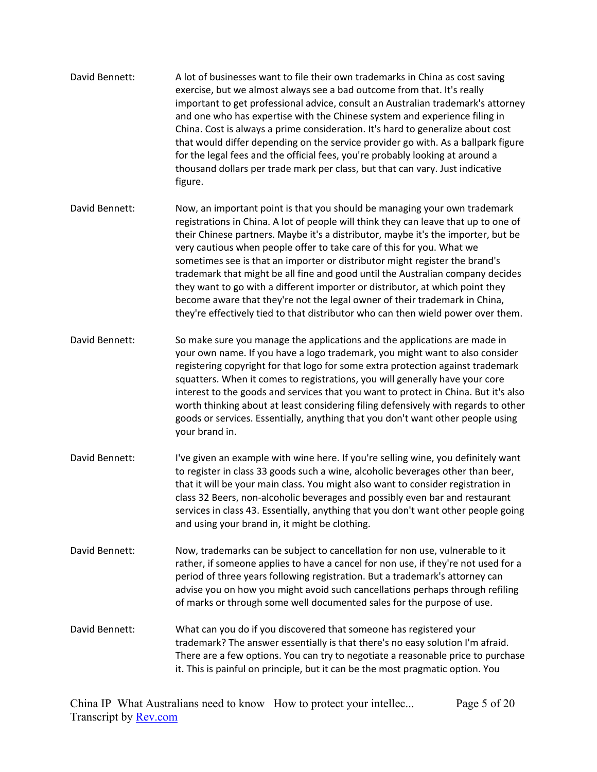| David Bennett: | A lot of businesses want to file their own trademarks in China as cost saving<br>exercise, but we almost always see a bad outcome from that. It's really<br>important to get professional advice, consult an Australian trademark's attorney<br>and one who has expertise with the Chinese system and experience filing in<br>China. Cost is always a prime consideration. It's hard to generalize about cost<br>that would differ depending on the service provider go with. As a ballpark figure<br>for the legal fees and the official fees, you're probably looking at around a<br>thousand dollars per trade mark per class, but that can vary. Just indicative<br>figure.                                                                    |
|----------------|----------------------------------------------------------------------------------------------------------------------------------------------------------------------------------------------------------------------------------------------------------------------------------------------------------------------------------------------------------------------------------------------------------------------------------------------------------------------------------------------------------------------------------------------------------------------------------------------------------------------------------------------------------------------------------------------------------------------------------------------------|
| David Bennett: | Now, an important point is that you should be managing your own trademark<br>registrations in China. A lot of people will think they can leave that up to one of<br>their Chinese partners. Maybe it's a distributor, maybe it's the importer, but be<br>very cautious when people offer to take care of this for you. What we<br>sometimes see is that an importer or distributor might register the brand's<br>trademark that might be all fine and good until the Australian company decides<br>they want to go with a different importer or distributor, at which point they<br>become aware that they're not the legal owner of their trademark in China,<br>they're effectively tied to that distributor who can then wield power over them. |
| David Bennett: | So make sure you manage the applications and the applications are made in<br>your own name. If you have a logo trademark, you might want to also consider<br>registering copyright for that logo for some extra protection against trademark<br>squatters. When it comes to registrations, you will generally have your core<br>interest to the goods and services that you want to protect in China. But it's also<br>worth thinking about at least considering filing defensively with regards to other<br>goods or services. Essentially, anything that you don't want other people using<br>your brand in.                                                                                                                                     |
| David Bennett: | I've given an example with wine here. If you're selling wine, you definitely want<br>to register in class 33 goods such a wine, alcoholic beverages other than beer,<br>that it will be your main class. You might also want to consider registration in<br>class 32 Beers, non-alcoholic beverages and possibly even bar and restaurant<br>services in class 43. Essentially, anything that you don't want other people going<br>and using your brand in, it might be clothing.                                                                                                                                                                                                                                                                   |
| David Bennett: | Now, trademarks can be subject to cancellation for non use, vulnerable to it<br>rather, if someone applies to have a cancel for non use, if they're not used for a<br>period of three years following registration. But a trademark's attorney can<br>advise you on how you might avoid such cancellations perhaps through refiling<br>of marks or through some well documented sales for the purpose of use.                                                                                                                                                                                                                                                                                                                                      |
| David Bennett: | What can you do if you discovered that someone has registered your<br>trademark? The answer essentially is that there's no easy solution I'm afraid.<br>There are a few options. You can try to negotiate a reasonable price to purchase<br>it. This is painful on principle, but it can be the most pragmatic option. You                                                                                                                                                                                                                                                                                                                                                                                                                         |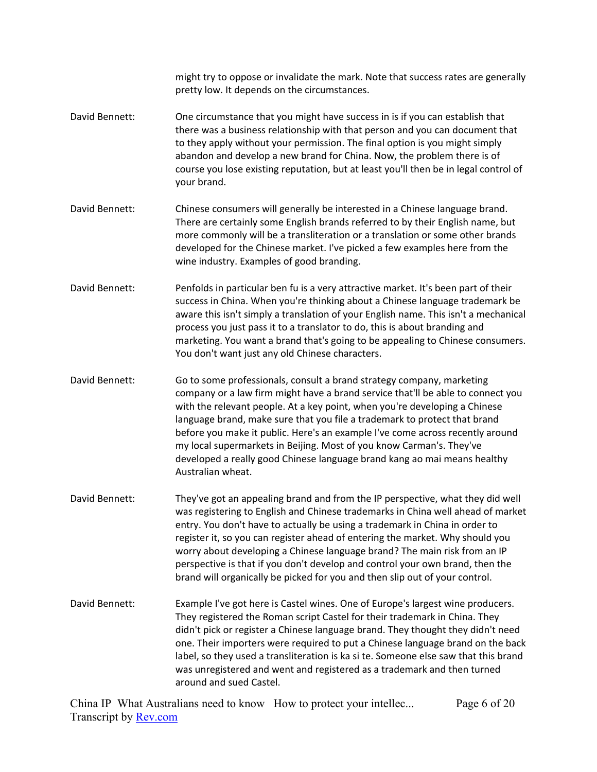might try to oppose or invalidate the mark. Note that success rates are generally pretty low. It depends on the circumstances.

- David Bennett: One circumstance that you might have success in is if you can establish that there was a business relationship with that person and you can document that to they apply without your permission. The final option is you might simply abandon and develop a new brand for China. Now, the problem there is of course you lose existing reputation, but at least you'll then be in legal control of your brand.
- David Bennett: Chinese consumers will generally be interested in a Chinese language brand. There are certainly some English brands referred to by their English name, but more commonly will be a transliteration or a translation or some other brands developed for the Chinese market. I've picked a few examples here from the wine industry. Examples of good branding.
- David Bennett: Penfolds in particular ben fu is a very attractive market. It's been part of their success in China. When you're thinking about a Chinese language trademark be aware this isn't simply a translation of your English name. This isn't a mechanical process you just pass it to a translator to do, this is about branding and marketing. You want a brand that's going to be appealing to Chinese consumers. You don't want just any old Chinese characters.
- David Bennett: Go to some professionals, consult a brand strategy company, marketing company or a law firm might have a brand service that'll be able to connect you with the relevant people. At a key point, when you're developing a Chinese language brand, make sure that you file a trademark to protect that brand before you make it public. Here's an example I've come across recently around my local supermarkets in Beijing. Most of you know Carman's. They've developed a really good Chinese language brand kang ao mai means healthy Australian wheat.
- David Bennett: They've got an appealing brand and from the IP perspective, what they did well was registering to English and Chinese trademarks in China well ahead of market entry. You don't have to actually be using a trademark in China in order to register it, so you can register ahead of entering the market. Why should you worry about developing a Chinese language brand? The main risk from an IP perspective is that if you don't develop and control your own brand, then the brand will organically be picked for you and then slip out of your control.
- David Bennett: Example I've got here is Castel wines. One of Europe's largest wine producers. They registered the Roman script Castel for their trademark in China. They didn't pick or register a Chinese language brand. They thought they didn't need one. Their importers were required to put a Chinese language brand on the back label, so they used a transliteration is ka si te. Someone else saw that this brand was unregistered and went and registered as a trademark and then turned around and sued Castel.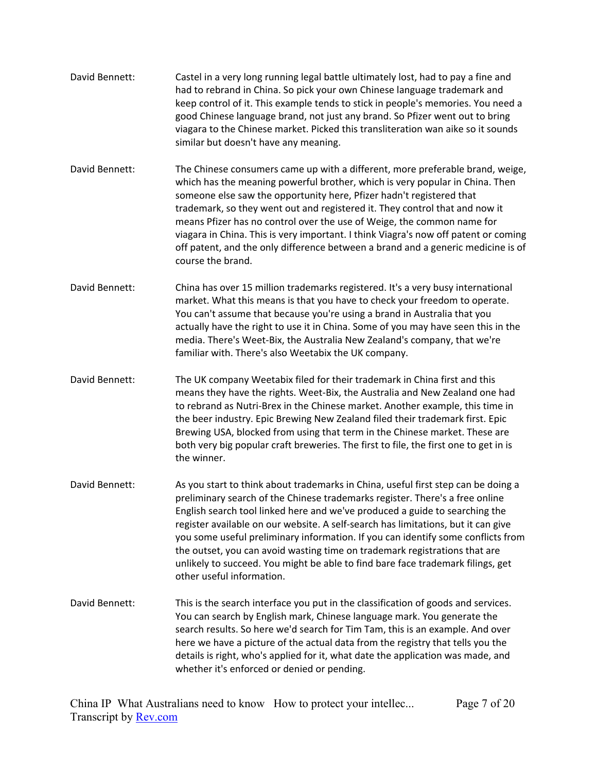- David Bennett: Castel in a very long running legal battle ultimately lost, had to pay a fine and had to rebrand in China. So pick your own Chinese language trademark and keep control of it. This example tends to stick in people's memories. You need a good Chinese language brand, not just any brand. So Pfizer went out to bring viagara to the Chinese market. Picked this transliteration wan aike so it sounds similar but doesn't have any meaning.
- David Bennett: The Chinese consumers came up with a different, more preferable brand, weige, which has the meaning powerful brother, which is very popular in China. Then someone else saw the opportunity here, Pfizer hadn't registered that trademark, so they went out and registered it. They control that and now it means Pfizer has no control over the use of Weige, the common name for viagara in China. This is very important. I think Viagra's now off patent or coming off patent, and the only difference between a brand and a generic medicine is of course the brand.
- David Bennett: China has over 15 million trademarks registered. It's a very busy international market. What this means is that you have to check your freedom to operate. You can't assume that because you're using a brand in Australia that you actually have the right to use it in China. Some of you may have seen this in the media. There's Weet-Bix, the Australia New Zealand's company, that we're familiar with. There's also Weetabix the UK company.
- David Bennett: The UK company Weetabix filed for their trademark in China first and this means they have the rights. Weet-Bix, the Australia and New Zealand one had to rebrand as Nutri-Brex in the Chinese market. Another example, this time in the beer industry. Epic Brewing New Zealand filed their trademark first. Epic Brewing USA, blocked from using that term in the Chinese market. These are both very big popular craft breweries. The first to file, the first one to get in is the winner.
- David Bennett: As you start to think about trademarks in China, useful first step can be doing a preliminary search of the Chinese trademarks register. There's a free online English search tool linked here and we've produced a guide to searching the register available on our website. A self-search has limitations, but it can give you some useful preliminary information. If you can identify some conflicts from the outset, you can avoid wasting time on trademark registrations that are unlikely to succeed. You might be able to find bare face trademark filings, get other useful information.
- David Bennett: This is the search interface you put in the classification of goods and services. You can search by English mark, Chinese language mark. You generate the search results. So here we'd search for Tim Tam, this is an example. And over here we have a picture of the actual data from the registry that tells you the details is right, who's applied for it, what date the application was made, and whether it's enforced or denied or pending.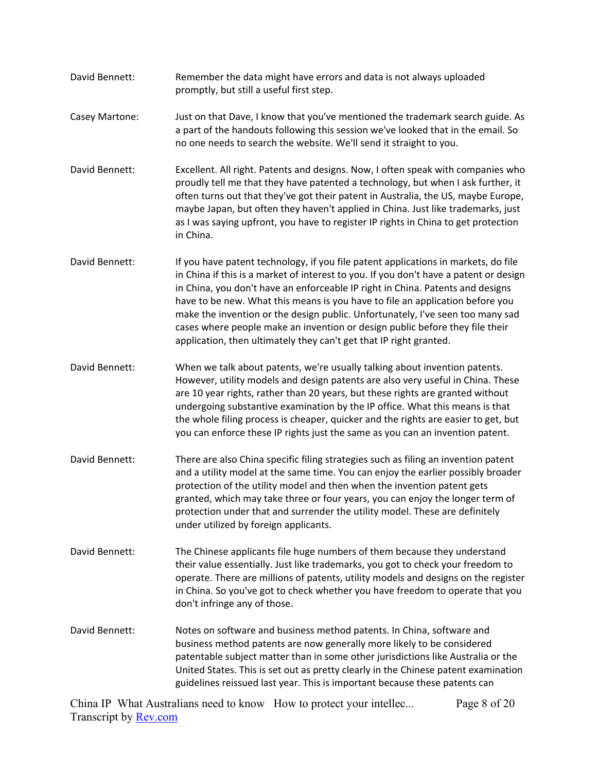- David Bennett: Remember the data might have errors and data is not always uploaded promptly, but still a useful first step.
- Casey Martone: Just on that Dave, I know that you've mentioned the trademark search guide. As a part of the handouts following this session we've looked that in the email. So no one needs to search the website. We'll send it straight to you.
- David Bennett: Excellent. All right. Patents and designs. Now, I often speak with companies who proudly tell me that they have patented a technology, but when I ask further, it often turns out that they've got their patent in Australia, the US, maybe Europe, maybe Japan, but often they haven't applied in China. Just like trademarks, just as I was saying upfront, you have to register IP rights in China to get protection in China.
- David Bennett: If you have patent technology, if you file patent applications in markets, do file in China if this is a market of interest to you. If you don't have a patent or design in China, you don't have an enforceable IP right in China. Patents and designs have to be new. What this means is you have to file an application before you make the invention or the design public. Unfortunately, I've seen too many sad cases where people make an invention or design public before they file their application, then ultimately they can't get that IP right granted.
- David Bennett: When we talk about patents, we're usually talking about invention patents. However, utility models and design patents are also very useful in China. These are 10 year rights, rather than 20 years, but these rights are granted without undergoing substantive examination by the IP office. What this means is that the whole filing process is cheaper, quicker and the rights are easier to get, but you can enforce these IP rights just the same as you can an invention patent.
- David Bennett: There are also China specific filing strategies such as filing an invention patent and a utility model at the same time. You can enjoy the earlier possibly broader protection of the utility model and then when the invention patent gets granted, which may take three or four years, you can enjoy the longer term of protection under that and surrender the utility model. These are definitely under utilized by foreign applicants.
- David Bennett: The Chinese applicants file huge numbers of them because they understand their value essentially. Just like trademarks, you got to check your freedom to operate. There are millions of patents, utility models and designs on the register in China. So you've got to check whether you have freedom to operate that you don't infringe any of those.
- David Bennett: Notes on software and business method patents. In China, software and business method patents are now generally more likely to be considered patentable subject matter than in some other jurisdictions like Australia or the United States. This is set out as pretty clearly in the Chinese patent examination guidelines reissued last year. This is important because these patents can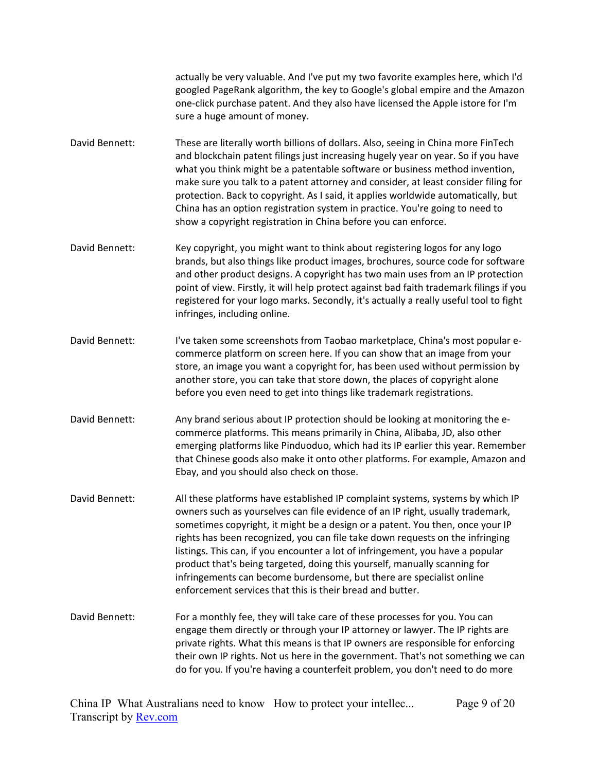actually be very valuable. And I've put my two favorite examples here, which I'd googled PageRank algorithm, the key to Google's global empire and the Amazon one-click purchase patent. And they also have licensed the Apple istore for I'm sure a huge amount of money.

- David Bennett: These are literally worth billions of dollars. Also, seeing in China more FinTech and blockchain patent filings just increasing hugely year on year. So if you have what you think might be a patentable software or business method invention, make sure you talk to a patent attorney and consider, at least consider filing for protection. Back to copyright. As I said, it applies worldwide automatically, but China has an option registration system in practice. You're going to need to show a copyright registration in China before you can enforce.
- David Bennett: Key copyright, you might want to think about registering logos for any logo brands, but also things like product images, brochures, source code for software and other product designs. A copyright has two main uses from an IP protection point of view. Firstly, it will help protect against bad faith trademark filings if you registered for your logo marks. Secondly, it's actually a really useful tool to fight infringes, including online.
- David Bennett: I've taken some screenshots from Taobao marketplace, China's most popular ecommerce platform on screen here. If you can show that an image from your store, an image you want a copyright for, has been used without permission by another store, you can take that store down, the places of copyright alone before you even need to get into things like trademark registrations.
- David Bennett: Any brand serious about IP protection should be looking at monitoring the ecommerce platforms. This means primarily in China, Alibaba, JD, also other emerging platforms like Pinduoduo, which had its IP earlier this year. Remember that Chinese goods also make it onto other platforms. For example, Amazon and Ebay, and you should also check on those.
- David Bennett: All these platforms have established IP complaint systems, systems by which IP owners such as yourselves can file evidence of an IP right, usually trademark, sometimes copyright, it might be a design or a patent. You then, once your IP rights has been recognized, you can file take down requests on the infringing listings. This can, if you encounter a lot of infringement, you have a popular product that's being targeted, doing this yourself, manually scanning for infringements can become burdensome, but there are specialist online enforcement services that this is their bread and butter.
- David Bennett: For a monthly fee, they will take care of these processes for you. You can engage them directly or through your IP attorney or lawyer. The IP rights are private rights. What this means is that IP owners are responsible for enforcing their own IP rights. Not us here in the government. That's not something we can do for you. If you're having a counterfeit problem, you don't need to do more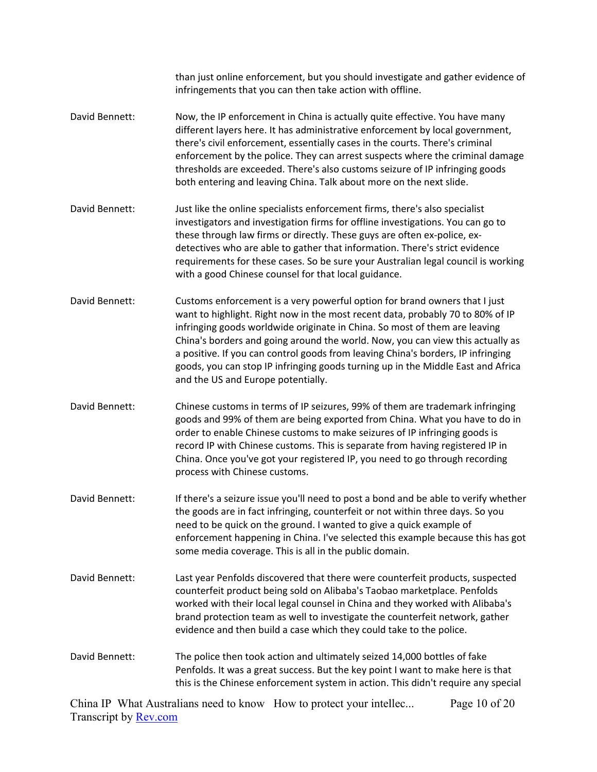|                | than just online enforcement, but you should investigate and gather evidence of<br>infringements that you can then take action with offline.                                                                                                                                                                                                                                                                                                                                                                                               |
|----------------|--------------------------------------------------------------------------------------------------------------------------------------------------------------------------------------------------------------------------------------------------------------------------------------------------------------------------------------------------------------------------------------------------------------------------------------------------------------------------------------------------------------------------------------------|
| David Bennett: | Now, the IP enforcement in China is actually quite effective. You have many<br>different layers here. It has administrative enforcement by local government,<br>there's civil enforcement, essentially cases in the courts. There's criminal<br>enforcement by the police. They can arrest suspects where the criminal damage<br>thresholds are exceeded. There's also customs seizure of IP infringing goods<br>both entering and leaving China. Talk about more on the next slide.                                                       |
| David Bennett: | Just like the online specialists enforcement firms, there's also specialist<br>investigators and investigation firms for offline investigations. You can go to<br>these through law firms or directly. These guys are often ex-police, ex-<br>detectives who are able to gather that information. There's strict evidence<br>requirements for these cases. So be sure your Australian legal council is working<br>with a good Chinese counsel for that local guidance.                                                                     |
| David Bennett: | Customs enforcement is a very powerful option for brand owners that I just<br>want to highlight. Right now in the most recent data, probably 70 to 80% of IP<br>infringing goods worldwide originate in China. So most of them are leaving<br>China's borders and going around the world. Now, you can view this actually as<br>a positive. If you can control goods from leaving China's borders, IP infringing<br>goods, you can stop IP infringing goods turning up in the Middle East and Africa<br>and the US and Europe potentially. |
| David Bennett: | Chinese customs in terms of IP seizures, 99% of them are trademark infringing<br>goods and 99% of them are being exported from China. What you have to do in<br>order to enable Chinese customs to make seizures of IP infringing goods is<br>record IP with Chinese customs. This is separate from having registered IP in<br>China. Once you've got your registered IP, you need to go through recording<br>process with Chinese customs.                                                                                                |
| David Bennett: | If there's a seizure issue you'll need to post a bond and be able to verify whether<br>the goods are in fact infringing, counterfeit or not within three days. So you<br>need to be quick on the ground. I wanted to give a quick example of<br>enforcement happening in China. I've selected this example because this has got<br>some media coverage. This is all in the public domain.                                                                                                                                                  |
| David Bennett: | Last year Penfolds discovered that there were counterfeit products, suspected<br>counterfeit product being sold on Alibaba's Taobao marketplace. Penfolds<br>worked with their local legal counsel in China and they worked with Alibaba's<br>brand protection team as well to investigate the counterfeit network, gather<br>evidence and then build a case which they could take to the police.                                                                                                                                          |
| David Bennett: | The police then took action and ultimately seized 14,000 bottles of fake<br>Penfolds. It was a great success. But the key point I want to make here is that<br>this is the Chinese enforcement system in action. This didn't require any special                                                                                                                                                                                                                                                                                           |
|                | China ID, What Augustine need to know. How to matest your intellec-<br>$D_{0.02}$ 10 $\leq$ 00                                                                                                                                                                                                                                                                                                                                                                                                                                             |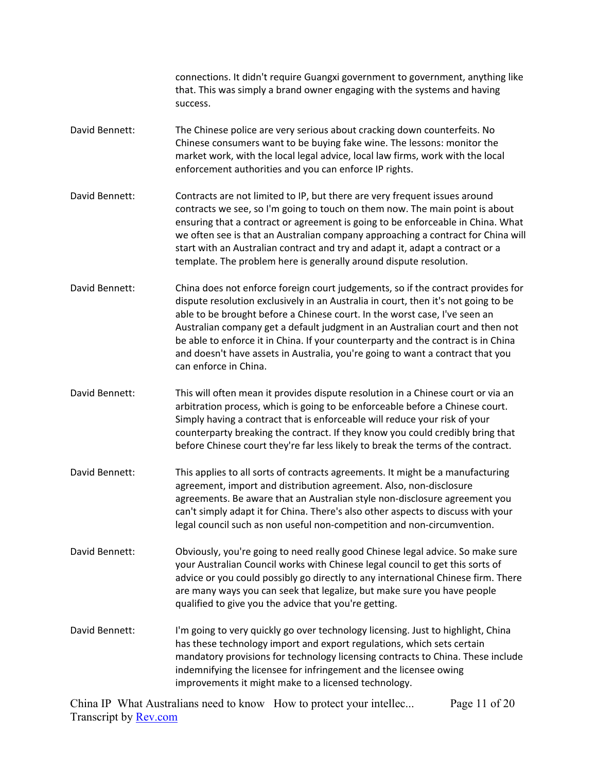connections. It didn't require Guangxi government to government, anything like that. This was simply a brand owner engaging with the systems and having success.

- David Bennett: The Chinese police are very serious about cracking down counterfeits. No Chinese consumers want to be buying fake wine. The lessons: monitor the market work, with the local legal advice, local law firms, work with the local enforcement authorities and you can enforce IP rights.
- David Bennett: Contracts are not limited to IP, but there are very frequent issues around contracts we see, so I'm going to touch on them now. The main point is about ensuring that a contract or agreement is going to be enforceable in China. What we often see is that an Australian company approaching a contract for China will start with an Australian contract and try and adapt it, adapt a contract or a template. The problem here is generally around dispute resolution.
- David Bennett: China does not enforce foreign court judgements, so if the contract provides for dispute resolution exclusively in an Australia in court, then it's not going to be able to be brought before a Chinese court. In the worst case, I've seen an Australian company get a default judgment in an Australian court and then not be able to enforce it in China. If your counterparty and the contract is in China and doesn't have assets in Australia, you're going to want a contract that you can enforce in China.
- David Bennett: This will often mean it provides dispute resolution in a Chinese court or via an arbitration process, which is going to be enforceable before a Chinese court. Simply having a contract that is enforceable will reduce your risk of your counterparty breaking the contract. If they know you could credibly bring that before Chinese court they're far less likely to break the terms of the contract.
- David Bennett: This applies to all sorts of contracts agreements. It might be a manufacturing agreement, import and distribution agreement. Also, non-disclosure agreements. Be aware that an Australian style non-disclosure agreement you can't simply adapt it for China. There's also other aspects to discuss with your legal council such as non useful non-competition and non-circumvention.
- David Bennett: Obviously, you're going to need really good Chinese legal advice. So make sure your Australian Council works with Chinese legal council to get this sorts of advice or you could possibly go directly to any international Chinese firm. There are many ways you can seek that legalize, but make sure you have people qualified to give you the advice that you're getting.
- David Bennett: I'm going to very quickly go over technology licensing. Just to highlight, China has these technology import and export regulations, which sets certain mandatory provisions for technology licensing contracts to China. These include indemnifying the licensee for infringement and the licensee owing improvements it might make to a licensed technology.

China IP What Australians need to know How to protect your intellec... Transcript by [Rev.com](https://www.rev.com/) Page 11 of 20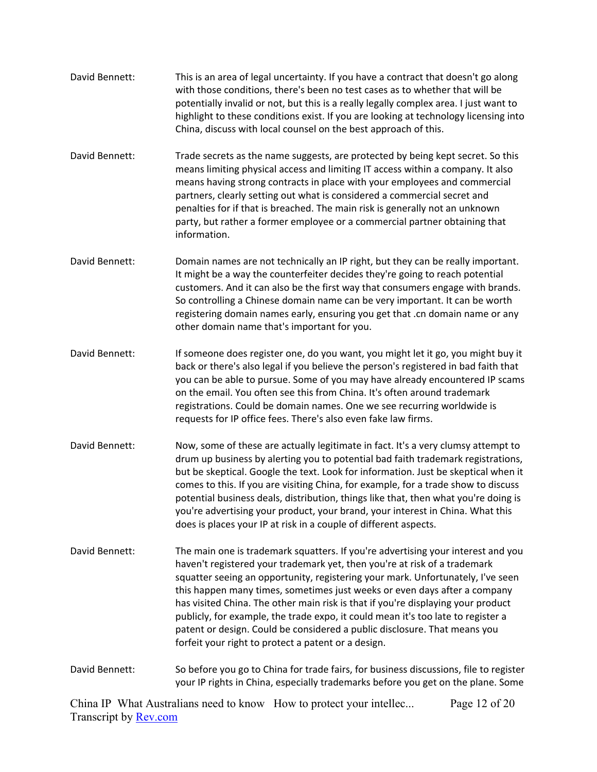- David Bennett: This is an area of legal uncertainty. If you have a contract that doesn't go along with those conditions, there's been no test cases as to whether that will be potentially invalid or not, but this is a really legally complex area. I just want to highlight to these conditions exist. If you are looking at technology licensing into China, discuss with local counsel on the best approach of this.
- David Bennett: Trade secrets as the name suggests, are protected by being kept secret. So this means limiting physical access and limiting IT access within a company. It also means having strong contracts in place with your employees and commercial partners, clearly setting out what is considered a commercial secret and penalties for if that is breached. The main risk is generally not an unknown party, but rather a former employee or a commercial partner obtaining that information.
- David Bennett: Domain names are not technically an IP right, but they can be really important. It might be a way the counterfeiter decides they're going to reach potential customers. And it can also be the first way that consumers engage with brands. So controlling a Chinese domain name can be very important. It can be worth registering domain names early, ensuring you get that .cn domain name or any other domain name that's important for you.
- David Bennett: If someone does register one, do you want, you might let it go, you might buy it back or there's also legal if you believe the person's registered in bad faith that you can be able to pursue. Some of you may have already encountered IP scams on the email. You often see this from China. It's often around trademark registrations. Could be domain names. One we see recurring worldwide is requests for IP office fees. There's also even fake law firms.
- David Bennett: Now, some of these are actually legitimate in fact. It's a very clumsy attempt to drum up business by alerting you to potential bad faith trademark registrations, but be skeptical. Google the text. Look for information. Just be skeptical when it comes to this. If you are visiting China, for example, for a trade show to discuss potential business deals, distribution, things like that, then what you're doing is you're advertising your product, your brand, your interest in China. What this does is places your IP at risk in a couple of different aspects.
- David Bennett: The main one is trademark squatters. If you're advertising your interest and you haven't registered your trademark yet, then you're at risk of a trademark squatter seeing an opportunity, registering your mark. Unfortunately, I've seen this happen many times, sometimes just weeks or even days after a company has visited China. The other main risk is that if you're displaying your product publicly, for example, the trade expo, it could mean it's too late to register a patent or design. Could be considered a public disclosure. That means you forfeit your right to protect a patent or a design.
- David Bennett: So before you go to China for trade fairs, for business discussions, file to register your IP rights in China, especially trademarks before you get on the plane. Some

China IP What Australians need to know How to protect your intellec... Transcript by [Rev.com](https://www.rev.com/) Page 12 of 20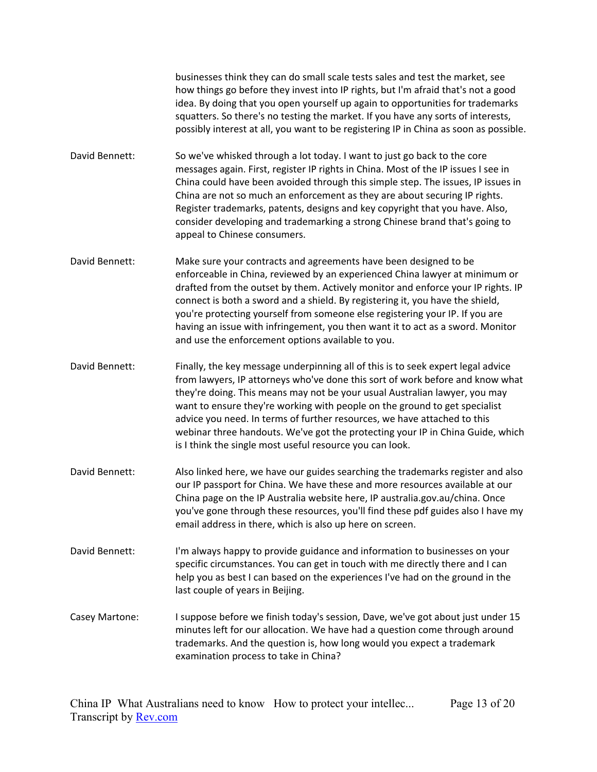businesses think they can do small scale tests sales and test the market, see how things go before they invest into IP rights, but I'm afraid that's not a good idea. By doing that you open yourself up again to opportunities for trademarks squatters. So there's no testing the market. If you have any sorts of interests, possibly interest at all, you want to be registering IP in China as soon as possible.

- David Bennett: So we've whisked through a lot today. I want to just go back to the core messages again. First, register IP rights in China. Most of the IP issues I see in China could have been avoided through this simple step. The issues, IP issues in China are not so much an enforcement as they are about securing IP rights. Register trademarks, patents, designs and key copyright that you have. Also, consider developing and trademarking a strong Chinese brand that's going to appeal to Chinese consumers.
- David Bennett: Make sure your contracts and agreements have been designed to be enforceable in China, reviewed by an experienced China lawyer at minimum or drafted from the outset by them. Actively monitor and enforce your IP rights. IP connect is both a sword and a shield. By registering it, you have the shield, you're protecting yourself from someone else registering your IP. If you are having an issue with infringement, you then want it to act as a sword. Monitor and use the enforcement options available to you.
- David Bennett: Finally, the key message underpinning all of this is to seek expert legal advice from lawyers, IP attorneys who've done this sort of work before and know what they're doing. This means may not be your usual Australian lawyer, you may want to ensure they're working with people on the ground to get specialist advice you need. In terms of further resources, we have attached to this webinar three handouts. We've got the protecting your IP in China Guide, which is I think the single most useful resource you can look.
- David Bennett: Also linked here, we have our guides searching the trademarks register and also our IP passport for China. We have these and more resources available at our China page on the IP Australia website here, IP australia.gov.au/china. Once you've gone through these resources, you'll find these pdf guides also I have my email address in there, which is also up here on screen.
- David Bennett: I'm always happy to provide guidance and information to businesses on your specific circumstances. You can get in touch with me directly there and I can help you as best I can based on the experiences I've had on the ground in the last couple of years in Beijing.
- Casey Martone: I suppose before we finish today's session, Dave, we've got about just under 15 minutes left for our allocation. We have had a question come through around trademarks. And the question is, how long would you expect a trademark examination process to take in China?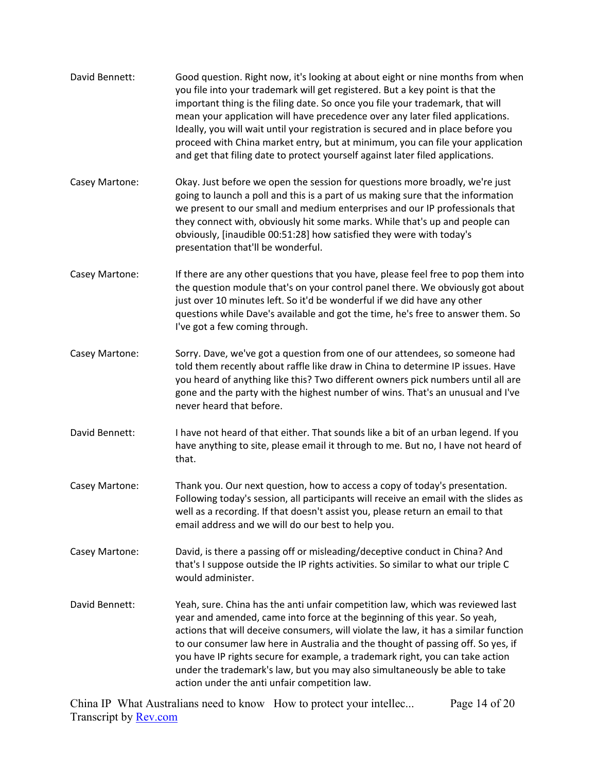| David Bennett: | Good question. Right now, it's looking at about eight or nine months from when<br>you file into your trademark will get registered. But a key point is that the<br>important thing is the filing date. So once you file your trademark, that will<br>mean your application will have precedence over any later filed applications.<br>Ideally, you will wait until your registration is secured and in place before you<br>proceed with China market entry, but at minimum, you can file your application<br>and get that filing date to protect yourself against later filed applications. |
|----------------|---------------------------------------------------------------------------------------------------------------------------------------------------------------------------------------------------------------------------------------------------------------------------------------------------------------------------------------------------------------------------------------------------------------------------------------------------------------------------------------------------------------------------------------------------------------------------------------------|
| Casey Martone: | Okay. Just before we open the session for questions more broadly, we're just<br>going to launch a poll and this is a part of us making sure that the information<br>we present to our small and medium enterprises and our IP professionals that<br>they connect with, obviously hit some marks. While that's up and people can<br>obviously, [inaudible 00:51:28] how satisfied they were with today's<br>presentation that'll be wonderful.                                                                                                                                               |
| Casey Martone: | If there are any other questions that you have, please feel free to pop them into<br>the question module that's on your control panel there. We obviously got about<br>just over 10 minutes left. So it'd be wonderful if we did have any other<br>questions while Dave's available and got the time, he's free to answer them. So<br>I've got a few coming through.                                                                                                                                                                                                                        |
| Casey Martone: | Sorry. Dave, we've got a question from one of our attendees, so someone had<br>told them recently about raffle like draw in China to determine IP issues. Have<br>you heard of anything like this? Two different owners pick numbers until all are<br>gone and the party with the highest number of wins. That's an unusual and I've<br>never heard that before.                                                                                                                                                                                                                            |
| David Bennett: | I have not heard of that either. That sounds like a bit of an urban legend. If you<br>have anything to site, please email it through to me. But no, I have not heard of<br>that.                                                                                                                                                                                                                                                                                                                                                                                                            |
| Casey Martone: | Thank you. Our next question, how to access a copy of today's presentation.<br>Following today's session, all participants will receive an email with the slides as<br>well as a recording. If that doesn't assist you, please return an email to that<br>email address and we will do our best to help you.                                                                                                                                                                                                                                                                                |
| Casey Martone: | David, is there a passing off or misleading/deceptive conduct in China? And<br>that's I suppose outside the IP rights activities. So similar to what our triple C<br>would administer.                                                                                                                                                                                                                                                                                                                                                                                                      |
| David Bennett: | Yeah, sure. China has the anti unfair competition law, which was reviewed last<br>year and amended, came into force at the beginning of this year. So yeah,<br>actions that will deceive consumers, will violate the law, it has a similar function<br>to our consumer law here in Australia and the thought of passing off. So yes, if<br>you have IP rights secure for example, a trademark right, you can take action<br>under the trademark's law, but you may also simultaneously be able to take<br>action under the anti unfair competition law.                                     |

China IP What Australians need to know How to protect your intellec... Transcript by **Rev.com** Page 14 of 20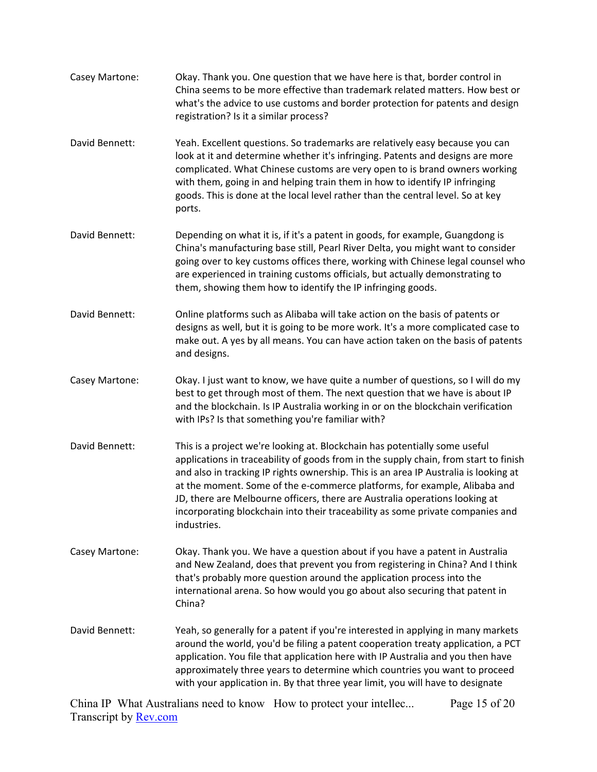- Casey Martone: Okay. Thank you. One question that we have here is that, border control in China seems to be more effective than trademark related matters. How best or what's the advice to use customs and border protection for patents and design registration? Is it a similar process?
- David Bennett: Yeah. Excellent questions. So trademarks are relatively easy because you can look at it and determine whether it's infringing. Patents and designs are more complicated. What Chinese customs are very open to is brand owners working with them, going in and helping train them in how to identify IP infringing goods. This is done at the local level rather than the central level. So at key ports.
- David Bennett: Depending on what it is, if it's a patent in goods, for example, Guangdong is China's manufacturing base still, Pearl River Delta, you might want to consider going over to key customs offices there, working with Chinese legal counsel who are experienced in training customs officials, but actually demonstrating to them, showing them how to identify the IP infringing goods.
- David Bennett: Online platforms such as Alibaba will take action on the basis of patents or designs as well, but it is going to be more work. It's a more complicated case to make out. A yes by all means. You can have action taken on the basis of patents and designs.
- Casey Martone: Okay. I just want to know, we have quite a number of questions, so I will do my best to get through most of them. The next question that we have is about IP and the blockchain. Is IP Australia working in or on the blockchain verification with IPs? Is that something you're familiar with?
- David Bennett: This is a project we're looking at. Blockchain has potentially some useful applications in traceability of goods from in the supply chain, from start to finish and also in tracking IP rights ownership. This is an area IP Australia is looking at at the moment. Some of the e-commerce platforms, for example, Alibaba and JD, there are Melbourne officers, there are Australia operations looking at incorporating blockchain into their traceability as some private companies and industries.
- Casey Martone: Okay. Thank you. We have a question about if you have a patent in Australia and New Zealand, does that prevent you from registering in China? And I think that's probably more question around the application process into the international arena. So how would you go about also securing that patent in China?
- David Bennett: Yeah, so generally for a patent if you're interested in applying in many markets around the world, you'd be filing a patent cooperation treaty application, a PCT application. You file that application here with IP Australia and you then have approximately three years to determine which countries you want to proceed with your application in. By that three year limit, you will have to designate

China IP What Australians need to know How to protect your intellec... Transcript by [Rev.com](https://www.rev.com/) Page 15 of 20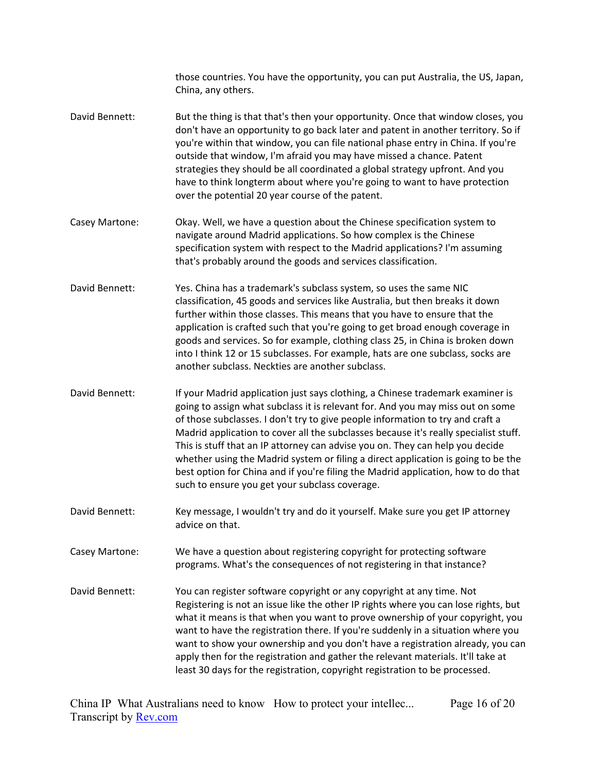|                | those countries. You have the opportunity, you can put Australia, the US, Japan,<br>China, any others.                                                                                                                                                                                                                                                                                                                                                                                                                                                                                                                                                  |
|----------------|---------------------------------------------------------------------------------------------------------------------------------------------------------------------------------------------------------------------------------------------------------------------------------------------------------------------------------------------------------------------------------------------------------------------------------------------------------------------------------------------------------------------------------------------------------------------------------------------------------------------------------------------------------|
| David Bennett: | But the thing is that that's then your opportunity. Once that window closes, you<br>don't have an opportunity to go back later and patent in another territory. So if<br>you're within that window, you can file national phase entry in China. If you're<br>outside that window, I'm afraid you may have missed a chance. Patent<br>strategies they should be all coordinated a global strategy upfront. And you<br>have to think longterm about where you're going to want to have protection<br>over the potential 20 year course of the patent.                                                                                                     |
| Casey Martone: | Okay. Well, we have a question about the Chinese specification system to<br>navigate around Madrid applications. So how complex is the Chinese<br>specification system with respect to the Madrid applications? I'm assuming<br>that's probably around the goods and services classification.                                                                                                                                                                                                                                                                                                                                                           |
| David Bennett: | Yes. China has a trademark's subclass system, so uses the same NIC<br>classification, 45 goods and services like Australia, but then breaks it down<br>further within those classes. This means that you have to ensure that the<br>application is crafted such that you're going to get broad enough coverage in<br>goods and services. So for example, clothing class 25, in China is broken down<br>into I think 12 or 15 subclasses. For example, hats are one subclass, socks are<br>another subclass. Neckties are another subclass.                                                                                                              |
| David Bennett: | If your Madrid application just says clothing, a Chinese trademark examiner is<br>going to assign what subclass it is relevant for. And you may miss out on some<br>of those subclasses. I don't try to give people information to try and craft a<br>Madrid application to cover all the subclasses because it's really specialist stuff.<br>This is stuff that an IP attorney can advise you on. They can help you decide<br>whether using the Madrid system or filing a direct application is going to be the<br>best option for China and if you're filing the Madrid application, how to do that<br>such to ensure you get your subclass coverage. |
| David Bennett: | Key message, I wouldn't try and do it yourself. Make sure you get IP attorney<br>advice on that.                                                                                                                                                                                                                                                                                                                                                                                                                                                                                                                                                        |
| Casey Martone: | We have a question about registering copyright for protecting software<br>programs. What's the consequences of not registering in that instance?                                                                                                                                                                                                                                                                                                                                                                                                                                                                                                        |
| David Bennett: | You can register software copyright or any copyright at any time. Not<br>Registering is not an issue like the other IP rights where you can lose rights, but<br>what it means is that when you want to prove ownership of your copyright, you<br>want to have the registration there. If you're suddenly in a situation where you<br>want to show your ownership and you don't have a registration already, you can<br>apply then for the registration and gather the relevant materials. It'll take at<br>least 30 days for the registration, copyright registration to be processed.                                                                  |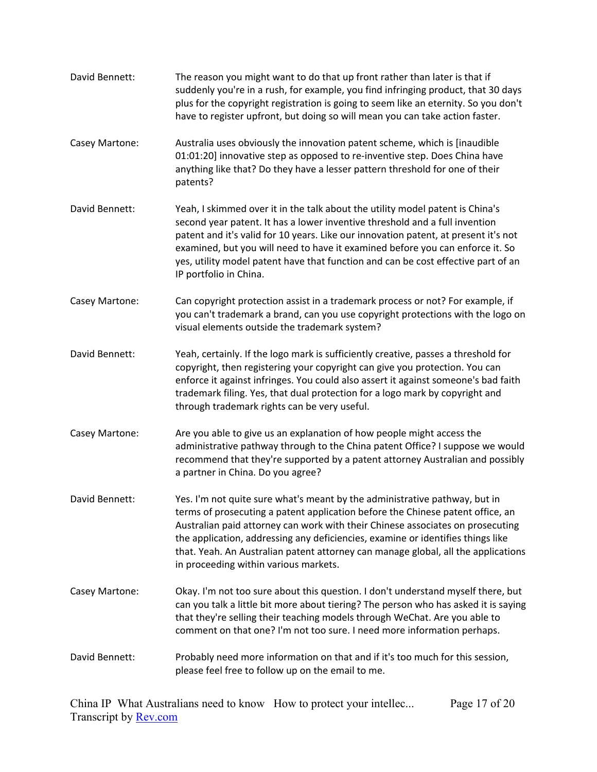| David Bennett: | The reason you might want to do that up front rather than later is that if<br>suddenly you're in a rush, for example, you find infringing product, that 30 days<br>plus for the copyright registration is going to seem like an eternity. So you don't<br>have to register upfront, but doing so will mean you can take action faster.                                                                                                                          |
|----------------|-----------------------------------------------------------------------------------------------------------------------------------------------------------------------------------------------------------------------------------------------------------------------------------------------------------------------------------------------------------------------------------------------------------------------------------------------------------------|
| Casey Martone: | Australia uses obviously the innovation patent scheme, which is [inaudible<br>01:01:20] innovative step as opposed to re-inventive step. Does China have<br>anything like that? Do they have a lesser pattern threshold for one of their<br>patents?                                                                                                                                                                                                            |
| David Bennett: | Yeah, I skimmed over it in the talk about the utility model patent is China's<br>second year patent. It has a lower inventive threshold and a full invention<br>patent and it's valid for 10 years. Like our innovation patent, at present it's not<br>examined, but you will need to have it examined before you can enforce it. So<br>yes, utility model patent have that function and can be cost effective part of an<br>IP portfolio in China.             |
| Casey Martone: | Can copyright protection assist in a trademark process or not? For example, if<br>you can't trademark a brand, can you use copyright protections with the logo on<br>visual elements outside the trademark system?                                                                                                                                                                                                                                              |
| David Bennett: | Yeah, certainly. If the logo mark is sufficiently creative, passes a threshold for<br>copyright, then registering your copyright can give you protection. You can<br>enforce it against infringes. You could also assert it against someone's bad faith<br>trademark filing. Yes, that dual protection for a logo mark by copyright and<br>through trademark rights can be very useful.                                                                         |
| Casey Martone: | Are you able to give us an explanation of how people might access the<br>administrative pathway through to the China patent Office? I suppose we would<br>recommend that they're supported by a patent attorney Australian and possibly<br>a partner in China. Do you agree?                                                                                                                                                                                    |
| David Bennett: | Yes. I'm not quite sure what's meant by the administrative pathway, but in<br>terms of prosecuting a patent application before the Chinese patent office, an<br>Australian paid attorney can work with their Chinese associates on prosecuting<br>the application, addressing any deficiencies, examine or identifies things like<br>that. Yeah. An Australian patent attorney can manage global, all the applications<br>in proceeding within various markets. |
| Casey Martone: | Okay. I'm not too sure about this question. I don't understand myself there, but<br>can you talk a little bit more about tiering? The person who has asked it is saying<br>that they're selling their teaching models through WeChat. Are you able to<br>comment on that one? I'm not too sure. I need more information perhaps.                                                                                                                                |
| David Bennett: | Probably need more information on that and if it's too much for this session,<br>please feel free to follow up on the email to me.                                                                                                                                                                                                                                                                                                                              |

China IP What Australians need to know How to protect your intellec... Transcript by **Rev.com** Page 17 of 20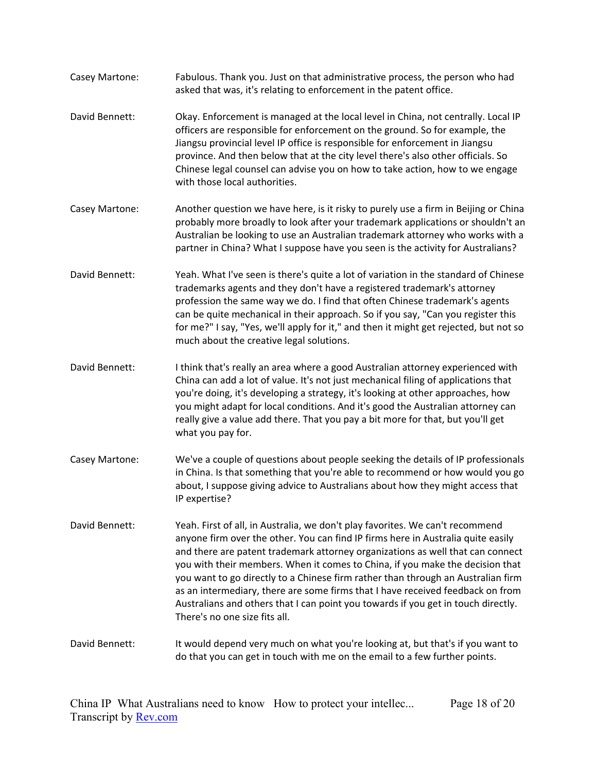Casey Martone: Fabulous. Thank you. Just on that administrative process, the person who had asked that was, it's relating to enforcement in the patent office. David Bennett: Okay. Enforcement is managed at the local level in China, not centrally. Local IP officers are responsible for enforcement on the ground. So for example, the Jiangsu provincial level IP office is responsible for enforcement in Jiangsu province. And then below that at the city level there's also other officials. So Chinese legal counsel can advise you on how to take action, how to we engage with those local authorities. Casey Martone: Another question we have here, is it risky to purely use a firm in Beijing or China probably more broadly to look after your trademark applications or shouldn't an Australian be looking to use an Australian trademark attorney who works with a partner in China? What I suppose have you seen is the activity for Australians? David Bennett: Yeah. What I've seen is there's quite a lot of variation in the standard of Chinese trademarks agents and they don't have a registered trademark's attorney profession the same way we do. I find that often Chinese trademark's agents can be quite mechanical in their approach. So if you say, "Can you register this for me?" I say, "Yes, we'll apply for it," and then it might get rejected, but not so much about the creative legal solutions. David Bennett: I think that's really an area where a good Australian attorney experienced with China can add a lot of value. It's not just mechanical filing of applications that you're doing, it's developing a strategy, it's looking at other approaches, how you might adapt for local conditions. And it's good the Australian attorney can really give a value add there. That you pay a bit more for that, but you'll get what you pay for. Casey Martone: We've a couple of questions about people seeking the details of IP professionals in China. Is that something that you're able to recommend or how would you go about, I suppose giving advice to Australians about how they might access that IP expertise? David Bennett: Yeah. First of all, in Australia, we don't play favorites. We can't recommend anyone firm over the other. You can find IP firms here in Australia quite easily and there are patent trademark attorney organizations as well that can connect you with their members. When it comes to China, if you make the decision that you want to go directly to a Chinese firm rather than through an Australian firm as an intermediary, there are some firms that I have received feedback on from Australians and others that I can point you towards if you get in touch directly. There's no one size fits all. David Bennett: It would depend very much on what you're looking at, but that's if you want to do that you can get in touch with me on the email to a few further points.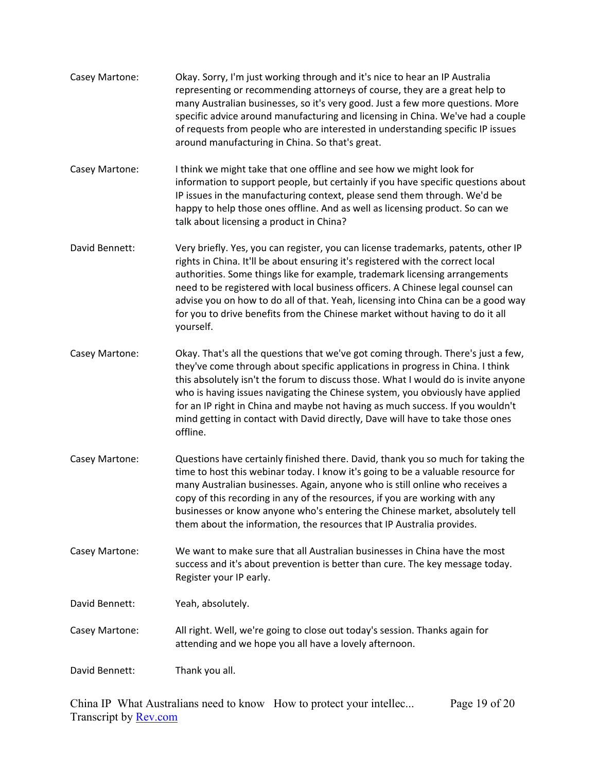| Casey Martone: | Okay. Sorry, I'm just working through and it's nice to hear an IP Australia<br>representing or recommending attorneys of course, they are a great help to<br>many Australian businesses, so it's very good. Just a few more questions. More<br>specific advice around manufacturing and licensing in China. We've had a couple<br>of requests from people who are interested in understanding specific IP issues<br>around manufacturing in China. So that's great.                                                         |
|----------------|-----------------------------------------------------------------------------------------------------------------------------------------------------------------------------------------------------------------------------------------------------------------------------------------------------------------------------------------------------------------------------------------------------------------------------------------------------------------------------------------------------------------------------|
| Casey Martone: | I think we might take that one offline and see how we might look for<br>information to support people, but certainly if you have specific questions about<br>IP issues in the manufacturing context, please send them through. We'd be<br>happy to help those ones offline. And as well as licensing product. So can we<br>talk about licensing a product in China?                                                                                                                                                         |
| David Bennett: | Very briefly. Yes, you can register, you can license trademarks, patents, other IP<br>rights in China. It'll be about ensuring it's registered with the correct local<br>authorities. Some things like for example, trademark licensing arrangements<br>need to be registered with local business officers. A Chinese legal counsel can<br>advise you on how to do all of that. Yeah, licensing into China can be a good way<br>for you to drive benefits from the Chinese market without having to do it all<br>yourself.  |
| Casey Martone: | Okay. That's all the questions that we've got coming through. There's just a few,<br>they've come through about specific applications in progress in China. I think<br>this absolutely isn't the forum to discuss those. What I would do is invite anyone<br>who is having issues navigating the Chinese system, you obviously have applied<br>for an IP right in China and maybe not having as much success. If you wouldn't<br>mind getting in contact with David directly, Dave will have to take those ones<br>offline. |
| Casey Martone: | Questions have certainly finished there. David, thank you so much for taking the<br>time to host this webinar today. I know it's going to be a valuable resource for<br>many Australian businesses. Again, anyone who is still online who receives a<br>copy of this recording in any of the resources, if you are working with any<br>businesses or know anyone who's entering the Chinese market, absolutely tell<br>them about the information, the resources that IP Australia provides.                                |
| Casey Martone: | We want to make sure that all Australian businesses in China have the most<br>success and it's about prevention is better than cure. The key message today.<br>Register your IP early.                                                                                                                                                                                                                                                                                                                                      |
| David Bennett: | Yeah, absolutely.                                                                                                                                                                                                                                                                                                                                                                                                                                                                                                           |
| Casey Martone: | All right. Well, we're going to close out today's session. Thanks again for<br>attending and we hope you all have a lovely afternoon.                                                                                                                                                                                                                                                                                                                                                                                       |
| David Bennett: | Thank you all.                                                                                                                                                                                                                                                                                                                                                                                                                                                                                                              |

China IP What Australians need to know How to protect your intellec... Transcript by **Rev.com** Page 19 of 20